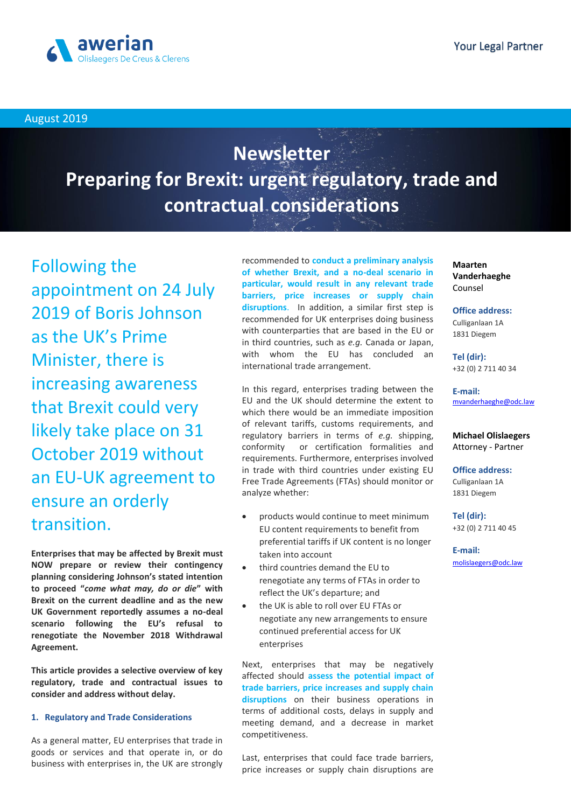

August 2019

# **Newsletter Preparing for Brexit: urgent regulatory, trade and contractual considerations**

Following the appointment on 24 July 2019 of Boris Johnson as the UK's Prime Minister, there is increasing awareness that Brexit could very likely take place on 31 October 2019 without an EU-UK agreement to ensure an orderly transition.

**Enterprises that may be affected by Brexit must NOW prepare or review their contingency planning considering Johnson's stated intention to proceed "***come what may, do or die***" with Brexit on the current deadline and as the new UK Government reportedly assumes a no-deal scenario following the EU's refusal to renegotiate the November 2018 Withdrawal Agreement.**

**This article provides a selective overview of key regulatory, trade and contractual issues to consider and address without delay.** 

## **1. Regulatory and Trade Considerations**

As a general matter, EU enterprises that trade in goods or services and that operate in, or do business with enterprises in, the UK are strongly recommended to **conduct a preliminary analysis of whether Brexit, and a no-deal scenario in particular, would result in any relevant trade barriers, price increases or supply chain disruptions**. In addition, a similar first step is recommended for UK enterprises doing business with counterparties that are based in the EU or in third countries, such as *e.g.* Canada or Japan, with whom the EU has concluded an international trade arrangement.

In this regard, enterprises trading between the EU and the UK should determine the extent to which there would be an immediate imposition of relevant tariffs, customs requirements, and regulatory barriers in terms of *e.g.* shipping, conformity or certification formalities and requirements. Furthermore, enterprises involved in trade with third countries under existing EU Free Trade Agreements (FTAs) should monitor or analyze whether:

- products would continue to meet minimum EU content requirements to benefit from preferential tariffs if UK content is no longer taken into account
- third countries demand the EU to renegotiate any terms of FTAs in order to reflect the UK's departure; and
- the UK is able to roll over EU FTAs or negotiate any new arrangements to ensure continued preferential access for UK enterprises

Next, enterprises that may be negatively affected should **assess the potential impact of trade barriers, price increases and supply chain disruptions** on their business operations in terms of additional costs, delays in supply and meeting demand, and a decrease in market competitiveness.

Last, enterprises that could face trade barriers, price increases or supply chain disruptions are

**Maarten Vanderhaeghe** Counsel

**Office address:**

Culliganlaan 1A 1831 Diegem

**Tel (dir):**  +32 (0) 2 711 40 34

## **E-mail:** mvanderhaeghe@odc.law

**Michael Olislaegers** Attorney - Partner

**Office address:**

Culliganlaan 1A 1831 Diegem

**Tel (dir):**  +32 (0) 2 711 40 45

**E-mail:** <molislaegers@odc.law>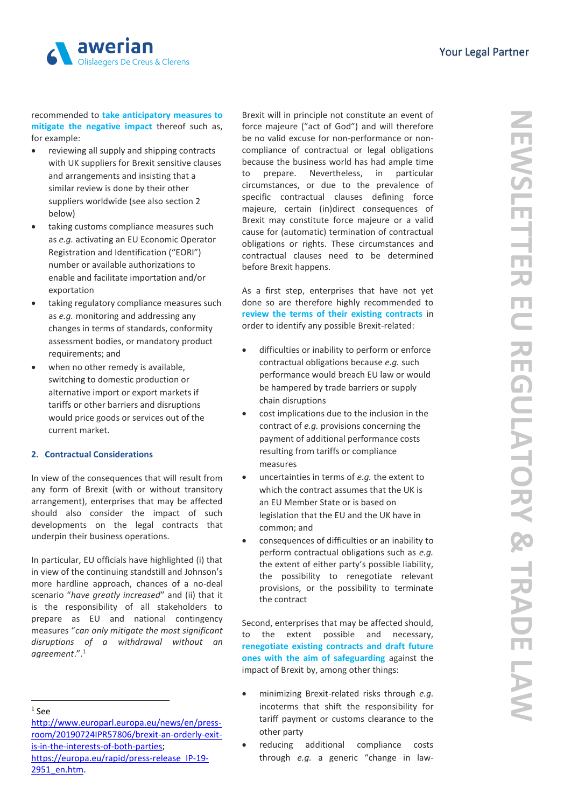

recommended to **take anticipatory measures to mitigate the negative impact** thereof such as, for example:

- reviewing all supply and shipping contracts with UK suppliers for Brexit sensitive clauses and arrangements and insisting that a similar review is done by their other suppliers worldwide (see also section 2 below)
- taking customs compliance measures such as *e.g.* activating an EU Economic Operator Registration and Identification ("EORI") number or available authorizations to enable and facilitate importation and/or exportation
- taking regulatory compliance measures such as *e.g.* monitoring and addressing any changes in terms of standards, conformity assessment bodies, or mandatory product requirements; and
- when no other remedy is available, switching to domestic production or alternative import or export markets if tariffs or other barriers and disruptions would price goods or services out of the current market.

## **2. Contractual Considerations**

In view of the consequences that will result from any form of Brexit (with or without transitory arrangement), enterprises that may be affected should also consider the impact of such developments on the legal contracts that underpin their business operations.

In particular, EU officials have highlighted (i) that in view of the continuing standstill and Johnson's more hardline approach, chances of a no-deal scenario "*have greatly increased*" and (ii) that it is the responsibility of all stakeholders to prepare as EU and national contingency measures "*can only mitigate the most significant disruptions of a withdrawal without an agreement*.".<sup>1</sup>

**.** 

Brexit will in principle not constitute an event of force majeure ("act of God") and will therefore be no valid excuse for non-performance or noncompliance of contractual or legal obligations because the business world has had ample time to prepare. Nevertheless, in particular circumstances, or due to the prevalence of specific contractual clauses defining force majeure, certain (in)direct consequences of Brexit may constitute force majeure or a valid cause for (automatic) termination of contractual obligations or rights. These circumstances and contractual clauses need to be determined before Brexit happens.

As a first step, enterprises that have not yet done so are therefore highly recommended to **review the terms of their existing contracts** in order to identify any possible Brexit-related:

- difficulties or inability to perform or enforce contractual obligations because *e.g.* such performance would breach EU law or would be hampered by trade barriers or supply chain disruptions
- cost implications due to the inclusion in the contract of *e.g.* provisions concerning the payment of additional performance costs resulting from tariffs or compliance measures
- uncertainties in terms of *e.g.* the extent to which the contract assumes that the UK is an EU Member State or is based on legislation that the EU and the UK have in common; and
- consequences of difficulties or an inability to perform contractual obligations such as *e.g.* the extent of either party's possible liability, the possibility to renegotiate relevant provisions, or the possibility to terminate the contract

Second, enterprises that may be affected should, to the extent possible and necessary, **renegotiate existing contracts and draft future ones with the aim of safeguarding** against the impact of Brexit by, among other things:

- minimizing Brexit-related risks through *e.g.*  incoterms that shift the responsibility for tariff payment or customs clearance to the other party
- reducing additional compliance costs through *e.g.* a generic "change in law-

<sup>1</sup> See

[http://www.europarl.europa.eu/news/en/press](http://www.europarl.europa.eu/news/en/press-room/20190724IPR57806/brexit-an-orderly-exit-is-in-the-interests-of-both-parties)[room/20190724IPR57806/brexit-an-orderly-exit](http://www.europarl.europa.eu/news/en/press-room/20190724IPR57806/brexit-an-orderly-exit-is-in-the-interests-of-both-parties)[is-in-the-interests-of-both-parties;](http://www.europarl.europa.eu/news/en/press-room/20190724IPR57806/brexit-an-orderly-exit-is-in-the-interests-of-both-parties)  [https://europa.eu/rapid/press-release\\_IP-19-](https://europa.eu/rapid/press-release_IP-19-2951_en.htm) [2951\\_en.htm.](https://europa.eu/rapid/press-release_IP-19-2951_en.htm)